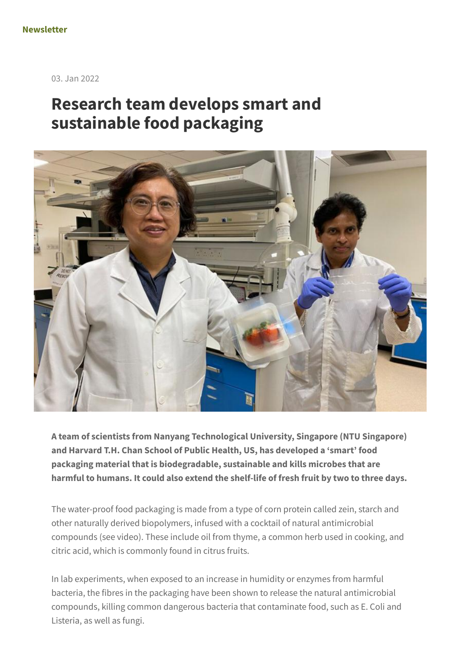03. Jan 2022

## **Research team develops smart and sustainable food packaging**



**A team of scientists from Nanyang Technological University, Singapore (NTU Singapore) and Harvard T.H. Chan School of Public Health, US, has developed a 'smart' food packaging material that is biodegradable, sustainable and kills microbes that are harmful to humans. It could also extend the shelf-life of fresh fruit by two to three days.**

The water-proof food packaging is made from a type of corn protein called zein, starch and other naturally derived biopolymers, infused with a cocktail of natural antimicrobial compounds (see video). These include oil from thyme, a common herb used in cooking, and citric acid, which is commonly found in citrus fruits.

In lab experiments, when exposed to an increase in humidity or enzymes from harmful bacteria, the fibres in the packaging have been shown to release the natural antimicrobial compounds, killing common dangerous bacteria that contaminate food, such as E. Coli and Listeria, as well as fungi.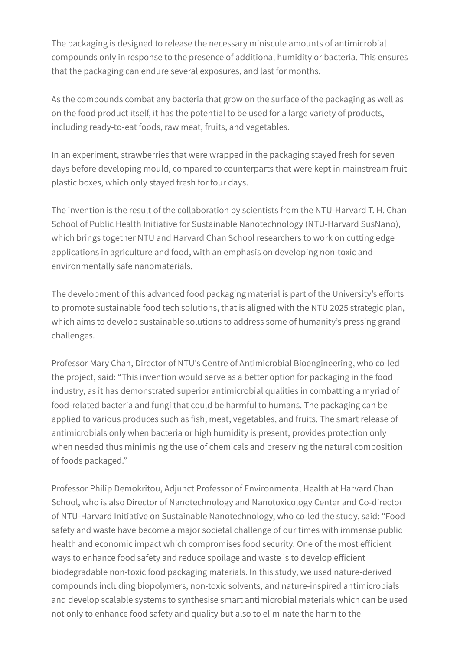The packaging is designed to release the necessary miniscule amounts of antimicrobial compounds only in response to the presence of additional humidity or bacteria. This ensures that the packaging can endure several exposures, and last for months.

As the compounds combat any bacteria that grow on the surface of the packaging as well as on the food product itself, it has the potential to be used for a large variety of products, including ready-to-eat foods, raw meat, fruits, and vegetables.

In an experiment, strawberries that were wrapped in the packaging stayed fresh for seven days before developing mould, compared to counterparts that were kept in mainstream fruit plastic boxes, which only stayed fresh for four days.

The invention is the result of the collaboration by scientists from the NTU-Harvard T. H. Chan School of Public Health Initiative for Sustainable Nanotechnology (NTU-Harvard SusNano), which brings together NTU and Harvard Chan School researchers to work on cutting edge applications in agriculture and food, with an emphasis on developing non-toxic and environmentally safe nanomaterials.

The development of this advanced food packaging material is part of the University's efforts to promote sustainable food tech solutions, that is aligned with the NTU 2025 strategic plan, which aims to develop sustainable solutions to address some of humanity's pressing grand challenges.

Professor Mary Chan, Director of NTU's Centre of Antimicrobial Bioengineering, who co-led the project, said: "This invention would serve as a better option for packaging in the food industry, as it has demonstrated superior antimicrobial qualities in combatting a myriad of food-related bacteria and fungi that could be harmful to humans. The packaging can be applied to various produces such as fish, meat, vegetables, and fruits. The smart release of antimicrobials only when bacteria or high humidity is present, provides protection only when needed thus minimising the use of chemicals and preserving the natural composition of foods packaged."

Professor Philip Demokritou, Adjunct Professor of Environmental Health at Harvard Chan School, who is also Director of Nanotechnology and Nanotoxicology Center and Co-director of NTU-Harvard Initiative on Sustainable Nanotechnology, who co-led the study, said: "Food safety and waste have become a major societal challenge of our times with immense public health and economic impact which compromises food security. One of the most efficient ways to enhance food safety and reduce spoilage and waste is to develop efficient biodegradable non-toxic food packaging materials. In this study, we used nature-derived compounds including biopolymers, non-toxic solvents, and nature-inspired antimicrobials and develop scalable systems to synthesise smart antimicrobial materials which can be used not only to enhance food safety and quality but also to eliminate the harm to the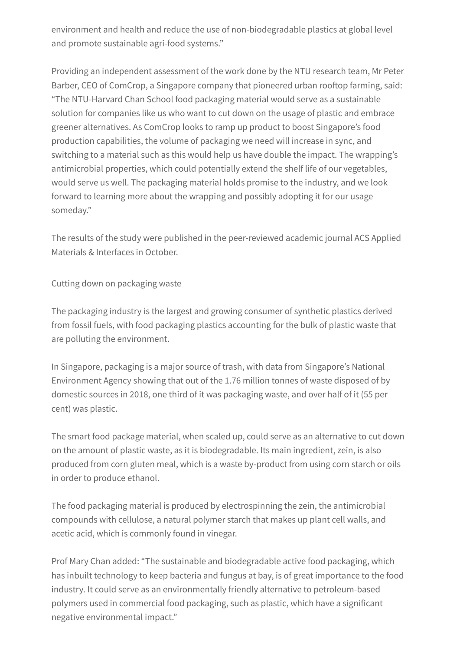environment and health and reduce the use of non-biodegradable plastics at global level and promote sustainable agri-food systems."

Providing an independent assessment of the work done by the NTU research team, Mr Peter Barber, CEO of ComCrop, a Singapore company that pioneered urban rooftop farming, said: "The NTU-Harvard Chan School food packaging material would serve as a sustainable solution for companies like us who want to cut down on the usage of plastic and embrace greener alternatives. As ComCrop looks to ramp up product to boost Singapore's food production capabilities, the volume of packaging we need will increase in sync, and switching to a material such as this would help us have double the impact. The wrapping's antimicrobial properties, which could potentially extend the shelf life of our vegetables, would serve us well. The packaging material holds promise to the industry, and we look forward to learning more about the wrapping and possibly adopting it for our usage someday."

The results of the study were published in the peer-reviewed academic journal ACS Applied Materials & Interfaces in October.

Cutting down on packaging waste

The packaging industry is the largest and growing consumer of synthetic plastics derived from fossil fuels, with food packaging plastics accounting for the bulk of plastic waste that are polluting the environment.

In Singapore, packaging is a major source of trash, with data from Singapore's National Environment Agency showing that out of the 1.76 million tonnes of waste disposed of by domestic sources in 2018, one third of it was packaging waste, and over half of it (55 per cent) was plastic.

The smart food package material, when scaled up, could serve as an alternative to cut down on the amount of plastic waste, as it is biodegradable. Its main ingredient, zein, is also produced from corn gluten meal, which is a waste by-product from using corn starch or oils in order to produce ethanol.

The food packaging material is produced by electrospinning the zein, the antimicrobial compounds with cellulose, a natural polymer starch that makes up plant cell walls, and acetic acid, which is commonly found in vinegar.

Prof Mary Chan added: "The sustainable and biodegradable active food packaging, which has inbuilt technology to keep bacteria and fungus at bay, is of great importance to the food industry. It could serve as an environmentally friendly alternative to petroleum-based polymers used in commercial food packaging, such as plastic, which have a significant negative environmental impact."